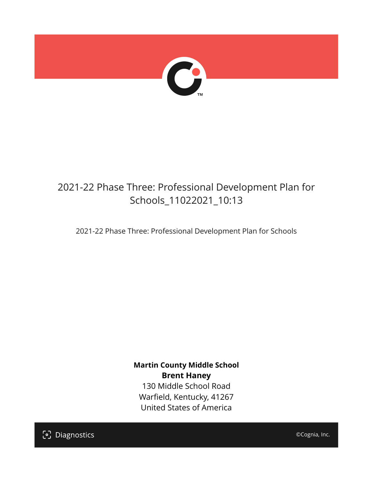

## 2021-22 Phase Three: Professional Development Plan for Schools\_11022021\_10:13

2021-22 Phase Three: Professional Development Plan for Schools

**Martin County Middle School Brent Haney** 130 Middle School Road Warfield, Kentucky, 41267 United States of America

[၁] Diagnostics

©Cognia, Inc.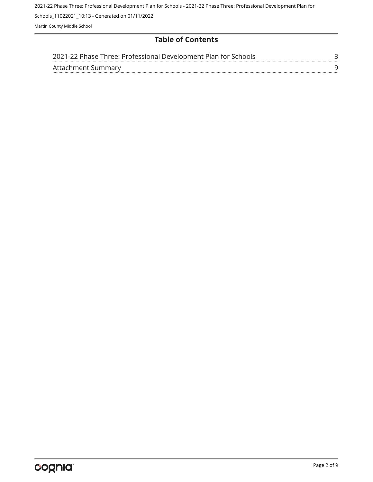2021-22 Phase Three: Professional Development Plan for Schools - 2021-22 Phase Three: Professional Development Plan for

Schools\_11022021\_10:13 - Generated on 01/11/2022

Martin County Middle School

## **Table of Contents**

| 2021-22 Phase Three: Professional Development Plan for Schools |  |
|----------------------------------------------------------------|--|
| Attachment Summary                                             |  |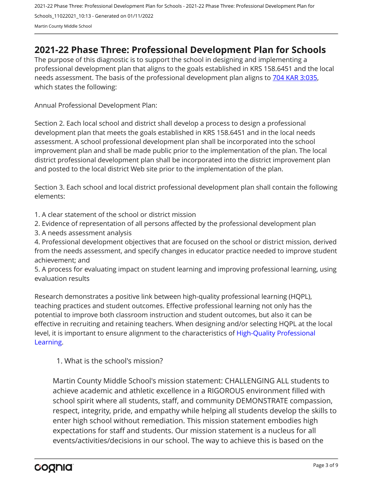## <span id="page-2-0"></span>**2021-22 Phase Three: Professional Development Plan for Schools**

The purpose of this diagnostic is to support the school in designing and implementing a professional development plan that aligns to the goals established in KRS 158.6451 and the local needs assessment. The basis of the professional development plan aligns to [704 KAR 3:035,](https://apps.legislature.ky.gov/Law/kar/704/003/035.pdf) which states the following:

Annual Professional Development Plan:

Section 2. Each local school and district shall develop a process to design a professional development plan that meets the goals established in KRS 158.6451 and in the local needs assessment. A school professional development plan shall be incorporated into the school improvement plan and shall be made public prior to the implementation of the plan. The local district professional development plan shall be incorporated into the district improvement plan and posted to the local district Web site prior to the implementation of the plan.

Section 3. Each school and local district professional development plan shall contain the following elements:

- 1. A clear statement of the school or district mission
- 2. Evidence of representation of all persons affected by the professional development plan
- 3. A needs assessment analysis

4. Professional development objectives that are focused on the school or district mission, derived from the needs assessment, and specify changes in educator practice needed to improve student achievement; and

5. A process for evaluating impact on student learning and improving professional learning, using evaluation results

Research demonstrates a positive link between high-quality professional learning (HQPL), teaching practices and student outcomes. Effective professional learning not only has the potential to improve both classroom instruction and student outcomes, but also it can be effective in recruiting and retaining teachers. When designing and/or selecting HQPL at the local level, it is important to ensure alignment to the characteristics of [High-Quality Professional](https://protect-us.mimecast.com/s/t_VKCmZ28lUj9ElyiG-gxw?domain=education.ky.gov)  [Learning](https://protect-us.mimecast.com/s/t_VKCmZ28lUj9ElyiG-gxw?domain=education.ky.gov).

1. What is the school's mission?

Martin County Middle School's mission statement: CHALLENGING ALL students to achieve academic and athletic excellence in a RIGOROUS environment filled with school spirit where all students, staff, and community DEMONSTRATE compassion, respect, integrity, pride, and empathy while helping all students develop the skills to enter high school without remediation. This mission statement embodies high expectations for staff and students. Our mission statement is a nucleus for all events/activities/decisions in our school. The way to achieve this is based on the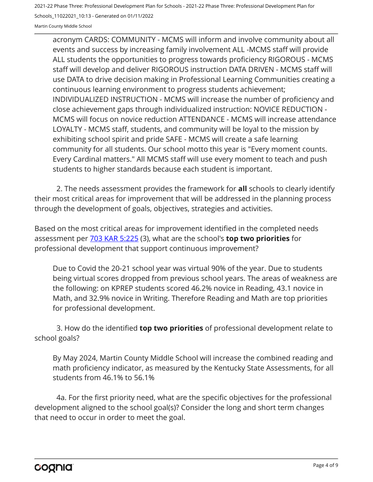2021-22 Phase Three: Professional Development Plan for Schools - 2021-22 Phase Three: Professional Development Plan for

Schools\_11022021\_10:13 - Generated on 01/11/2022

Martin County Middle School

acronym CARDS: COMMUNITY - MCMS will inform and involve community about all events and success by increasing family involvement ALL -MCMS staff will provide ALL students the opportunities to progress towards proficiency RIGOROUS - MCMS staff will develop and deliver RIGOROUS instruction DATA DRIVEN - MCMS staff will use DATA to drive decision making in Professional Learning Communities creating a continuous learning environment to progress students achievement; INDIVIDUALIZED INSTRUCTION - MCMS will increase the number of proficiency and close achievement gaps through individualized instruction: NOVICE REDUCTION - MCMS will focus on novice reduction ATTENDANCE - MCMS will increase attendance LOYALTY - MCMS staff, students, and community will be loyal to the mission by exhibiting school spirit and pride SAFE - MCMS will create a safe learning community for all students. Our school motto this year is "Every moment counts. Every Cardinal matters." All MCMS staff will use every moment to teach and push students to higher standards because each student is important.

2. The needs assessment provides the framework for **all** schools to clearly identify their most critical areas for improvement that will be addressed in the planning process through the development of goals, objectives, strategies and activities.

Based on the most critical areas for improvement identified in the completed needs assessment per [703 KAR 5:225](https://apps.legislature.ky.gov/law/kar/703/005/225.pdf) (3), what are the school's **top two priorities** for professional development that support continuous improvement?

Due to Covid the 20-21 school year was virtual 90% of the year. Due to students being virtual scores dropped from previous school years. The areas of weakness are the following: on KPREP students scored 46.2% novice in Reading, 43.1 novice in Math, and 32.9% novice in Writing. Therefore Reading and Math are top priorities for professional development.

3. How do the identified **top two priorities** of professional development relate to school goals?

By May 2024, Martin County Middle School will increase the combined reading and math proficiency indicator, as measured by the Kentucky State Assessments, for all students from 46.1% to 56.1%

4a. For the first priority need, what are the specific objectives for the professional development aligned to the school goal(s)? Consider the long and short term changes that need to occur in order to meet the goal.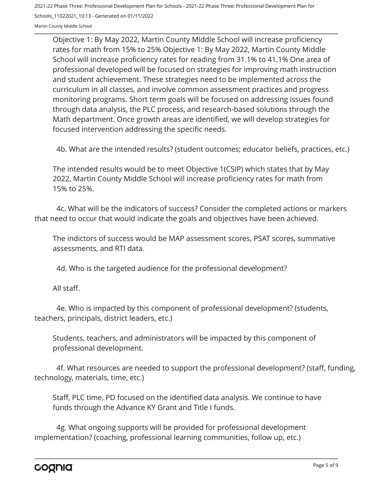Objective 1: By May 2022, Martin County Middle School will increase proficiency rates for math from 15% to 25% Objective 1: By May 2022, Martin County Middle School will increase proficiency rates for reading from 31.1% to 41.1% One area of professional developed will be focused on strategies for improving math instruction and student achievement. These strategies need to be implemented across the curriculum in all classes, and involve common assessment practices and progress monitoring programs. Short term goals will be focused on addressing issues found through data analysis, the PLC process, and research-based solutions through the Math department. Once growth areas are identified, we will develop strategies for focused intervention addressing the specific needs.

4b. What are the intended results? (student outcomes; educator beliefs, practices, etc.)

The intended results would be to meet Objective 1(CSIP) which states that by May 2022, Martin County Middle School will increase proficiency rates for math from 15% to 25%.

4c. What will be the indicators of success? Consider the completed actions or markers that need to occur that would indicate the goals and objectives have been achieved.

The indictors of success would be MAP assessment scores, PSAT scores, summative assessments, and RTI data.

4d. Who is the targeted audience for the professional development?

All staff.

4e. Who is impacted by this component of professional development? (students, teachers, principals, district leaders, etc.)

Students, teachers, and administrators will be impacted by this component of professional development.

4f. What resources are needed to support the professional development? (staff, funding, technology, materials, time, etc.)

Staff, PLC time, PD focused on the identified data analysis. We continue to have funds through the Advance KY Grant and Title I funds.

4g. What ongoing supports will be provided for professional development implementation? (coaching, professional learning communities, follow up, etc.)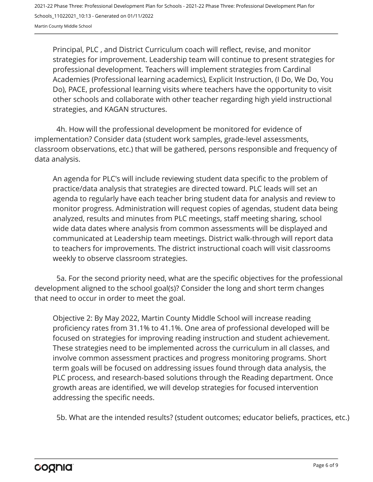Principal, PLC , and District Curriculum coach will reflect, revise, and monitor strategies for improvement. Leadership team will continue to present strategies for professional development. Teachers will implement strategies from Cardinal Academies (Professional learning academics), Explicit Instruction, (I Do, We Do, You Do), PACE, professional learning visits where teachers have the opportunity to visit other schools and collaborate with other teacher regarding high yield instructional strategies, and KAGAN structures.

4h. How will the professional development be monitored for evidence of implementation? Consider data (student work samples, grade-level assessments, classroom observations, etc.) that will be gathered, persons responsible and frequency of data analysis.

An agenda for PLC's will include reviewing student data specific to the problem of practice/data analysis that strategies are directed toward. PLC leads will set an agenda to regularly have each teacher bring student data for analysis and review to monitor progress. Administration will request copies of agendas, student data being analyzed, results and minutes from PLC meetings, staff meeting sharing, school wide data dates where analysis from common assessments will be displayed and communicated at Leadership team meetings. District walk-through will report data to teachers for improvements. The district instructional coach will visit classrooms weekly to observe classroom strategies.

5a. For the second priority need, what are the specific objectives for the professional development aligned to the school goal(s)? Consider the long and short term changes that need to occur in order to meet the goal.

Objective 2: By May 2022, Martin County Middle School will increase reading proficiency rates from 31.1% to 41.1%. One area of professional developed will be focused on strategies for improving reading instruction and student achievement. These strategies need to be implemented across the curriculum in all classes, and involve common assessment practices and progress monitoring programs. Short term goals will be focused on addressing issues found through data analysis, the PLC process, and research-based solutions through the Reading department. Once growth areas are identified, we will develop strategies for focused intervention addressing the specific needs.

5b. What are the intended results? (student outcomes; educator beliefs, practices, etc.)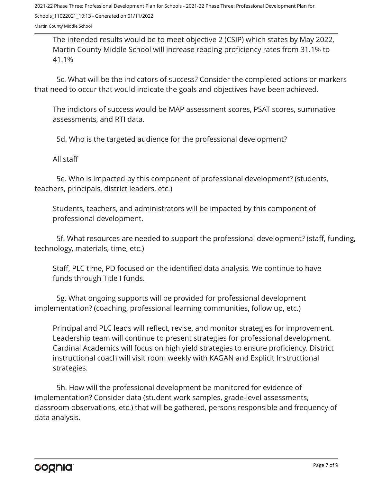Martin County Middle School

The intended results would be to meet objective 2 (CSIP) which states by May 2022, Martin County Middle School will increase reading proficiency rates from 31.1% to 41.1%

5c. What will be the indicators of success? Consider the completed actions or markers that need to occur that would indicate the goals and objectives have been achieved.

The indictors of success would be MAP assessment scores, PSAT scores, summative assessments, and RTI data.

5d. Who is the targeted audience for the professional development?

All staff

5e. Who is impacted by this component of professional development? (students, teachers, principals, district leaders, etc.)

Students, teachers, and administrators will be impacted by this component of professional development.

5f. What resources are needed to support the professional development? (staff, funding, technology, materials, time, etc.)

Staff, PLC time, PD focused on the identified data analysis. We continue to have funds through Title I funds.

5g. What ongoing supports will be provided for professional development implementation? (coaching, professional learning communities, follow up, etc.)

Principal and PLC leads will reflect, revise, and monitor strategies for improvement. Leadership team will continue to present strategies for professional development. Cardinal Academics will focus on high yield strategies to ensure proficiency. District instructional coach will visit room weekly with KAGAN and Explicit Instructional strategies.

5h. How will the professional development be monitored for evidence of implementation? Consider data (student work samples, grade-level assessments, classroom observations, etc.) that will be gathered, persons responsible and frequency of data analysis.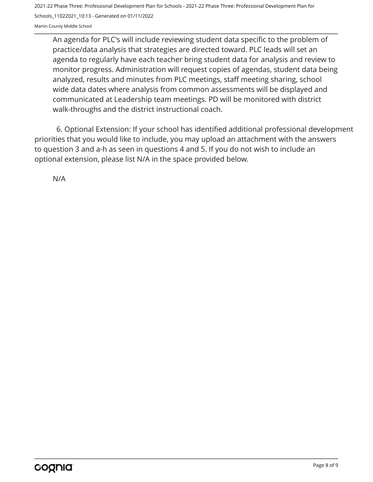An agenda for PLC's will include reviewing student data specific to the problem of practice/data analysis that strategies are directed toward. PLC leads will set an agenda to regularly have each teacher bring student data for analysis and review to monitor progress. Administration will request copies of agendas, student data being analyzed, results and minutes from PLC meetings, staff meeting sharing, school wide data dates where analysis from common assessments will be displayed and communicated at Leadership team meetings. PD will be monitored with district walk-throughs and the district instructional coach.

6. Optional Extension: If your school has identified additional professional development priorities that you would like to include, you may upload an attachment with the answers to question 3 and a-h as seen in questions 4 and 5. If you do not wish to include an optional extension, please list N/A in the space provided below.

N/A